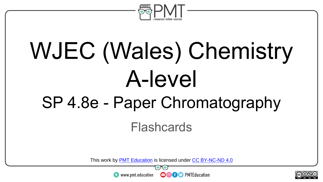

# WJEC (Wales) Chemistry A-level SP 4.8e - Paper Chromatography

Flashcards

This work by <u>PMT Education</u> is licensed under CC BY-NC-ND 4.0<br>
www.pmt.education **in the CO CO** PMTEducation



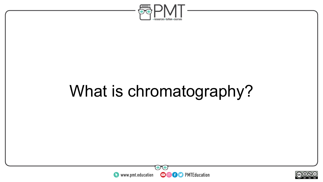

# What is chromatography?



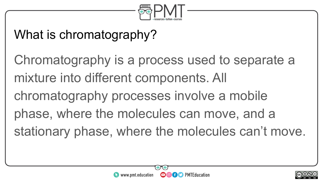

#### What is chromatography?

Chromatography is a process used to separate a mixture into different components. All chromatography processes involve a mobile phase, where the molecules can move, and a stationary phase, where the molecules can't move.



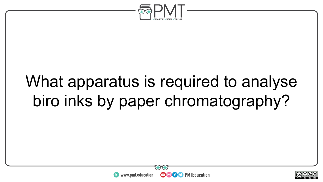

### What apparatus is required to analyse biro inks by paper chromatography?



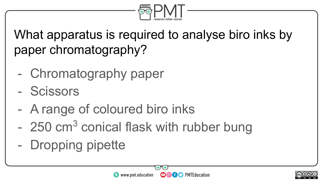

What apparatus is required to analyse biro inks by paper chromatography?

- Chromatography paper
- Scissors
- A range of coloured biro inks
- 250 cm<sup>3</sup> conical flask with rubber bung
- Dropping pipette



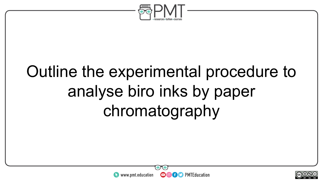

# Outline the experimental procedure to analyse biro inks by paper chromatography



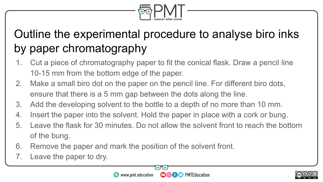

#### Outline the experimental procedure to analyse biro inks by paper chromatography

- 1. Cut a piece of chromatography paper to fit the conical flask. Draw a pencil line 10-15 mm from the bottom edge of the paper.
- 2. Make a small biro dot on the paper on the pencil line. For different biro dots, ensure that there is a 5 mm gap between the dots along the line.
- 3. Add the developing solvent to the bottle to a depth of no more than 10 mm.
- 4. Insert the paper into the solvent. Hold the paper in place with a cork or bung.
- 5. Leave the flask for 30 minutes. Do not allow the solvent front to reach the bottom of the bung.
- 6. Remove the paper and mark the position of the solvent front.
- 7. Leave the paper to dry.



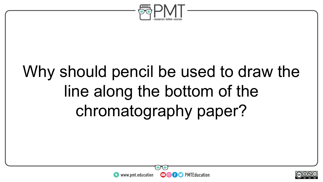

# Why should pencil be used to draw the line along the bottom of the chromatography paper?

**OOOO** PMTEducation



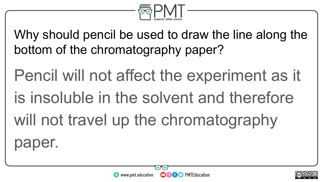

Why should pencil be used to draw the line along the bottom of the chromatography paper?

Pencil will not affect the experiment as it is insoluble in the solvent and therefore will not travel up the chromatography

er.

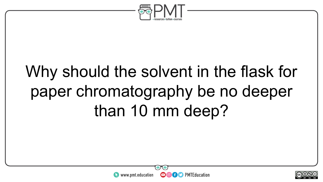

# Why should the solvent in the flask for paper chromatography be no deeper than 10 mm deep?



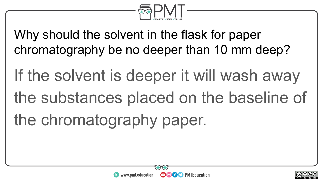

Why should the solvent in the flask for paper chromatography be no deeper than 10 mm deep?

If the solvent is deeper it will wash away the substances placed on the baseline of the chromatography paper.



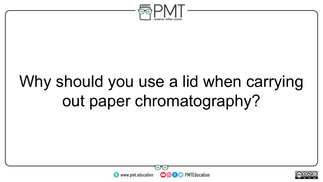

# Why should you use a lid when carrying out paper chromatography?



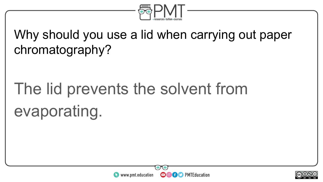

#### Why should you use a lid when carrying out paper chromatography?

# The lid prevents the solvent from evaporating.



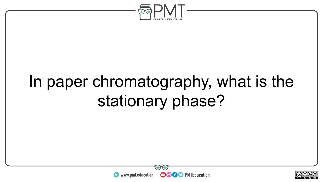

# In paper chromatography, what is the stationary phase?



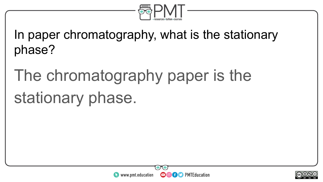

In paper chromatography, what is the stationary phase?

# The chromatography paper is the stationary phase.



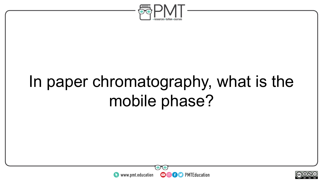

### In paper chromatography, what is the mobile phase?



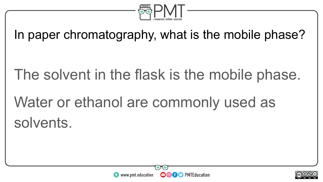

In paper chromatography, what is the mobile phase?

The solvent in the flask is the mobile phase. Water or ethanol are commonly used as solvents.



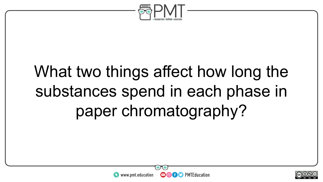

# What two things affect how long the substances spend in each phase in paper chromatography?





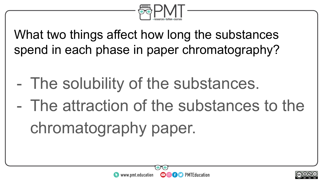

What two things affect how long the substances spend in each phase in paper chromatography?

- The solubility of the substances.
- The attraction of the substances to the chromatography paper.



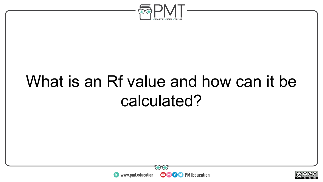

## What is an Rf value and how can it be calculated?



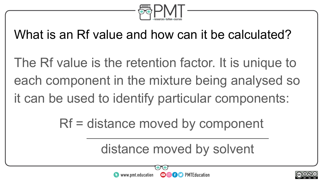

What is an Rf value and how can it be calculated?

The Rf value is the retention factor. It is unique to each component in the mixture being analysed so it can be used to identify particular components:

Rf = distance moved by component

distance moved by solvent

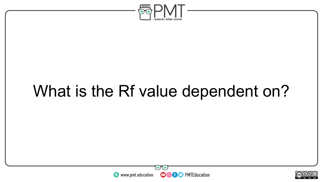

### What is the Rf value dependent on?



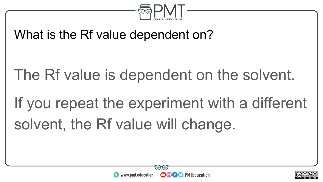

#### What is the Rf value dependent on?

The Rf value is dependent on the solvent.

If you repeat the experiment with a different solvent, the Rf value will change.



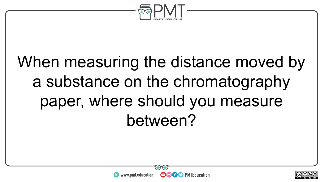

# When measuring the distance moved by a substance on the chromatography paper, where should you measure between?



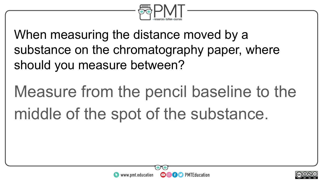

When measuring the distance moved by a substance on the chromatography paper, where should you measure between?

# Measure from the pencil baseline to the middle of the spot of the substance.



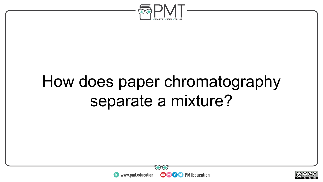

### How does paper chromatography separate a mixture?